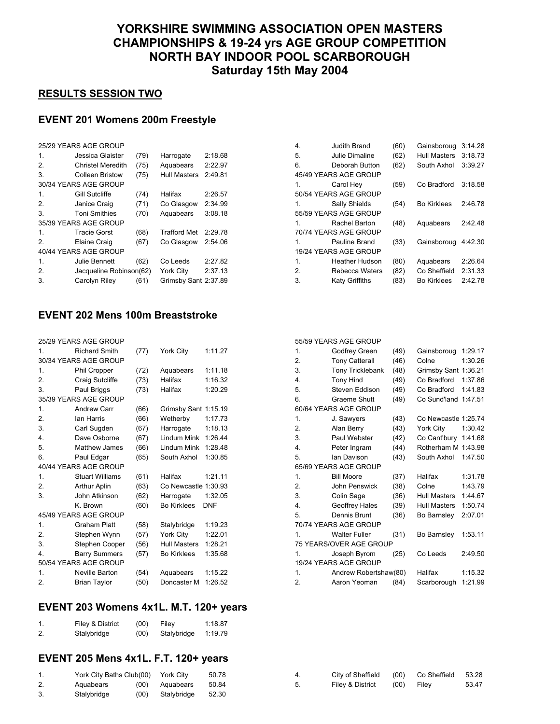# **YORKSHIRE SWIMMING ASSOCIATION OPEN MASTERS CHAMPIONSHIPS & 19-24 yrs AGE GROUP COMPETITION NORTH BAY INDOOR POOL SCARBOROUGH Saturday 15th May 2004**

#### **RESULTS SESSION TWO**

# **EVENT 201 Womens 200m Freestyle**

| 25/29 YEARS AGE GROUP    |                                                                         |                         |                      |  |  |  |
|--------------------------|-------------------------------------------------------------------------|-------------------------|----------------------|--|--|--|
| Jessica Glaister         | (79)                                                                    | Harrogate               | 2:18.68              |  |  |  |
| <b>Christel Meredith</b> | (75)                                                                    | Aquabears               | 2:22.97              |  |  |  |
| Colleen Bristow          | (75)                                                                    | Hull Masters            | 2:49.81              |  |  |  |
|                          |                                                                         |                         |                      |  |  |  |
| Gill Sutcliffe           | (74)                                                                    | Halifax                 | 2:26.57              |  |  |  |
| Janice Craig             | (71)                                                                    | Co Glasgow              | 2:34.99              |  |  |  |
| <b>Toni Smithies</b>     | (70)                                                                    | Aquabears               | 3:08.18              |  |  |  |
|                          |                                                                         |                         |                      |  |  |  |
| Tracie Gorst             | (68)                                                                    | <b>Trafford Met</b>     | 2:29.78              |  |  |  |
| Elaine Craig             | (67)                                                                    | Co Glasgow              | 2:54.06              |  |  |  |
|                          |                                                                         |                         |                      |  |  |  |
| Julie Bennett            | (62)                                                                    | Co Leeds                | 2:27.82              |  |  |  |
|                          |                                                                         | York City               | 2:37.13              |  |  |  |
| Carolyn Riley            | (61)                                                                    |                         |                      |  |  |  |
|                          | 30/34 YEARS AGE GROUP<br>35/39 YEARS AGE GROUP<br>40/44 YEARS AGE GROUP | Jacqueline Robinson(62) | Grimsby Sant 2:37.89 |  |  |  |

### **EVENT 202 Mens 100m Breaststroke**

| 25/29 YEARS AGE GROUP |                        |      |                      |            |  |  |
|-----------------------|------------------------|------|----------------------|------------|--|--|
| 1.                    | <b>Richard Smith</b>   | (77) | York City            | 1:11.27    |  |  |
|                       | 30/34 YEARS AGE GROUP  |      |                      |            |  |  |
| 1.                    | Phil Cropper           | (72) | Aquabears            | 1:11.18    |  |  |
| $\overline{2}$ .      | Craig Sutcliffe        | (73) | Halifax              | 1:16.32    |  |  |
| 3.                    | Paul Briggs            | (73) | Halifax              | 1:20.29    |  |  |
|                       | 35/39 YEARS AGE GROUP  |      |                      |            |  |  |
| 1.                    | <b>Andrew Carr</b>     | (66) | Grimsby Sant 1:15.19 |            |  |  |
| $\mathcal{P}$         | lan Harris             | (66) | Wetherby             | 1:17.73    |  |  |
| 3.                    | Carl Sugden            | (67) | Harrogate            | 1:18.13    |  |  |
| $\overline{4}$ .      | Dave Osborne           | (67) | Lindum Mink          | 1:26.44    |  |  |
| 5.                    | <b>Matthew James</b>   | (66) | Lindum Mink          | 1:28.48    |  |  |
| 6.                    | Paul Edgar             | (65) | South Axhol          | 1:30.85    |  |  |
|                       | 40/44 YEARS AGE GROUP  |      |                      |            |  |  |
| 1.                    | <b>Stuart Williams</b> | (61) | Halifax              | 1:21.11    |  |  |
| 2.                    | <b>Arthur Aplin</b>    | (63) | Co Newcastle 1:30.93 |            |  |  |
| 3.                    | John Atkinson          | (62) | Harrogate            | 1:32.05    |  |  |
|                       | K. Brown               | (60) | <b>Bo Kirklees</b>   | <b>DNF</b> |  |  |
|                       | 45/49 YEARS AGE GROUP  |      |                      |            |  |  |
| 1.                    | <b>Graham Platt</b>    | (58) | Stalybridge          | 1:19.23    |  |  |
| 2.                    | Stephen Wynn           | (57) | York City            | 1:22.01    |  |  |
| 3.                    | Stephen Cooper         | (56) | <b>Hull Masters</b>  | 1:28.21    |  |  |
| 4.                    | <b>Barry Summers</b>   | (57) | <b>Bo Kirklees</b>   | 1:35.68    |  |  |
|                       | 50/54 YEARS AGE GROUP  |      |                      |            |  |  |
| 1.                    | <b>Neville Barton</b>  | (54) | Aquabears            | 1:15.22    |  |  |
| $\overline{2}$ .      | <b>Brian Taylor</b>    | (50) | Doncaster M          | 1:26.52    |  |  |

## **EVENT 203 Womens 4x1L. M.T. 120+ years**

| 1. | Filey & District | (00) | Filev       | 1:18.87 |
|----|------------------|------|-------------|---------|
| 2. | Stalybridge      | (00) | Stalybridge | 1:19.79 |

## **EVENT 205 Mens 4x1L. F.T. 120+ years**

| 1. | York City Baths Club(00) York City |                          | 50.78 | City of Sheffield (00) Co Sheffield |      |       | 53.28 |
|----|------------------------------------|--------------------------|-------|-------------------------------------|------|-------|-------|
| 2. | Aquabears                          | $(00)$ Aquabears $50.84$ |       | Filev & District                    | (00) | Filev | 53.47 |
| 3. | Stalybridge                        | $(00)$ Stalybridge 52.30 |       |                                     |      |       |       |

| 4.             | Judith Brand          | (60) | Gainsboroug         | 3:14.28 |
|----------------|-----------------------|------|---------------------|---------|
| 5.             | Julie Dimaline        | (62) | <b>Hull Masters</b> | 3:18.73 |
| 6.             | Deborah Button        | (62) | South Axhol         | 3:39.27 |
|                | 45/49 YEARS AGE GROUP |      |                     |         |
| 1.             | Carol Hey             | (59) | Co Bradford         | 3:18.58 |
|                | 50/54 YEARS AGE GROUP |      |                     |         |
| 1.             | Sally Shields         | (54) | <b>Bo Kirklees</b>  | 2:46.78 |
|                | 55/59 YEARS AGE GROUP |      |                     |         |
| 1.             | Rachel Barton         | (48) | Aquabears           | 2:42.48 |
|                | 70/74 YEARS AGE GROUP |      |                     |         |
| $\mathbf{1}$   | Pauline Brand         | (33) | Gainsboroug         | 4:42.30 |
|                | 19/24 YEARS AGE GROUP |      |                     |         |
| $\mathbf{1}$ . | <b>Heather Hudson</b> | (80) | Aquabears           | 2:26.64 |
| 2.             | Rebecca Waters        | (82) | Co Sheffield        | 2:31.33 |
| 3.             | <b>Katy Griffiths</b> | (83) | <b>Bo Kirklees</b>  | 2:42.78 |

#### 55/59 YEARS AGE GROUP

| 1.               | Godfrey Green           | (49) | Gainsboroug          | 1:29.17 |
|------------------|-------------------------|------|----------------------|---------|
| 2.               | <b>Tony Catterall</b>   | (46) | Colne                | 1:30.26 |
| 3.               | Tony Tricklebank        | (48) | Grimsby Sant 1:36.21 |         |
| $\overline{4}$ . | <b>Tony Hind</b>        | (49) | Co Bradford          | 1:37.86 |
| 5.               | Steven Eddison          | (49) | Co Bradford          | 1:41.83 |
| 6.               | <b>Graeme Shutt</b>     | (49) | Co Sund'land         | 1:47.51 |
|                  | 60/64 YEARS AGE GROUP   |      |                      |         |
| 1.               | J. Sawyers              | (43) | Co Newcastle 1:25.74 |         |
| 2.               | Alan Berry              | (43) | York City            | 1:30.42 |
| 3.               | Paul Webster            | (42) | Co Cant'bury         | 1:41.68 |
| 4.               | Peter Ingram            | (44) | Rotherham M 1:43.98  |         |
| 5.               | lan Davison             | (43) | South Axhol          | 1:47.50 |
|                  | 65/69 YEARS AGE GROUP   |      |                      |         |
| 1.               | <b>Bill Moore</b>       | (37) | Halifax              | 1:31.78 |
| 2.               | John Penswick           | (38) | Colne                | 1:43.79 |
| 3.               | Colin Sage              | (36) | <b>Hull Masters</b>  | 1:44.67 |
| 4.               | Geoffrey Hales          | (39) | <b>Hull Masters</b>  | 1:50.74 |
| 5.               | Dennis Brunt            | (36) | Bo Barnsley          | 2:07.01 |
|                  | 70/74 YEARS AGE GROUP   |      |                      |         |
| $\mathbf{1}$ .   | <b>Walter Fuller</b>    | (31) | Bo Barnsley          | 1:53.11 |
|                  | 75 YEARS/OVER AGE GROUP |      |                      |         |
| 1.               | Joseph Byrom            | (25) | Co Leeds             | 2:49.50 |
|                  | 19/24 YEARS AGE GROUP   |      |                      |         |
| 1.               | Andrew Robertshaw(80)   |      | Halifax              | 1:15.32 |
| 2.               | Aaron Yeoman            | (84) | Scarborough          | 1:21.99 |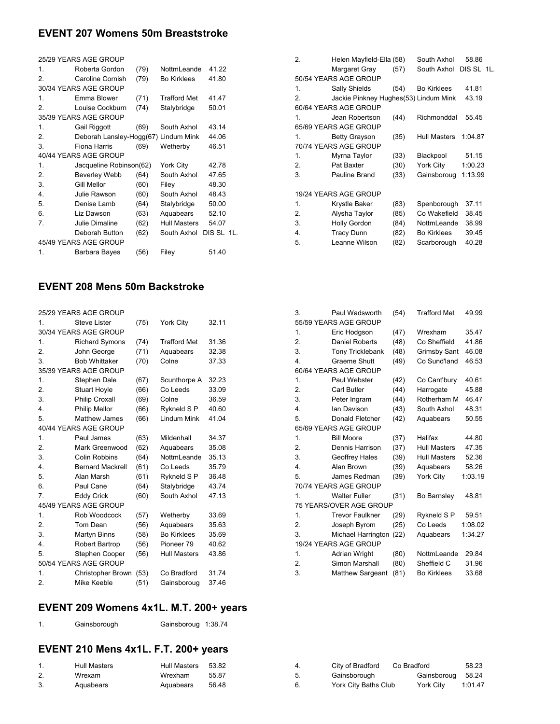## **EVENT 207 Womens 50m Breaststroke**

| 25/29 YEARS AGE GROUP |                                      |      |                     |            |  |  |
|-----------------------|--------------------------------------|------|---------------------|------------|--|--|
| 1.                    | Roberta Gordon                       | (79) | NottmLeande         | 41.22      |  |  |
| $\mathcal{P}$         | Caroline Cornish                     | (79) | <b>Bo Kirklees</b>  | 41.80      |  |  |
|                       | 30/34 YEARS AGE GROUP                |      |                     |            |  |  |
| 1.                    | Emma Blower                          | (71) | <b>Trafford Met</b> | 41.47      |  |  |
| $\mathcal{P}$         | Louise Cockburn                      | (74) | Stalybridge         | 50.01      |  |  |
|                       | 35/39 YEARS AGE GROUP                |      |                     |            |  |  |
| 1.                    | Gail Riggott                         | (69) | South Axhol         | 43.14      |  |  |
| 2.                    | Deborah Lansley-Hogg(67) Lindum Mink |      |                     | 44.06      |  |  |
| 3.                    | Fiona Harris                         | (69) | Wetherby            | 46.51      |  |  |
|                       | 40/44 YEARS AGE GROUP                |      |                     |            |  |  |
| 1.                    | Jacqueline Robinson(62)              |      | York City           | 42.78      |  |  |
| 2.                    | <b>Beverley Webb</b>                 | (64) | South Axhol         | 47.65      |  |  |
| 3.                    | Gill Mellor                          | (60) | Filey               | 48.30      |  |  |
| 4.                    | Julie Rawson                         | (60) | South Axhol         | 48.43      |  |  |
| 5.                    | Denise Lamb                          | (64) | Stalybridge         | 50.00      |  |  |
| 6.                    | Liz Dawson                           | (63) | Aquabears           | 52.10      |  |  |
| 7.                    | Julie Dimaline                       | (62) | <b>Hull Masters</b> | 54.07      |  |  |
|                       | Deborah Button                       | (62) | South Axhol         | DIS SL 1L. |  |  |
|                       | 45/49 YEARS AGE GROUP                |      |                     |            |  |  |
| 1.                    | Barbara Bayes                        | (56) | Filey               | 51.40      |  |  |
|                       |                                      |      |                     |            |  |  |

### **EVENT 208 Mens 50m Backstroke**

| 25/29 YEARS AGE GROUP |                          |      |                     |       |  |  |
|-----------------------|--------------------------|------|---------------------|-------|--|--|
| 1                     | Steve Lister             | (75) | York City           | 32.11 |  |  |
|                       | 30/34 YEARS AGE GROUP    |      |                     |       |  |  |
| 1.                    | <b>Richard Symons</b>    | (74) | <b>Trafford Met</b> | 31.36 |  |  |
| $\overline{2}$ .      | John George              | (71) | Aquabears           | 32.38 |  |  |
| 3.                    | <b>Bob Whittaker</b>     | (70) | Colne               | 37.33 |  |  |
|                       | 35/39 YEARS AGE GROUP    |      |                     |       |  |  |
| 1.                    | Stephen Dale             | (67) | Scunthorpe A        | 32.23 |  |  |
| 2.                    | <b>Stuart Hoyle</b>      | (66) | Co Leeds            | 33.09 |  |  |
| 3.                    | <b>Philip Croxall</b>    | (69) | Colne               | 36.59 |  |  |
| 4.                    | Philip Mellor            | (66) | Rykneld S P         | 40.60 |  |  |
| 5.                    | <b>Matthew James</b>     | (66) | <b>Lindum Mink</b>  | 41.04 |  |  |
|                       | 40/44 YEARS AGE GROUP    |      |                     |       |  |  |
| 1.                    | Paul James               | (63) | Mildenhall          | 34.37 |  |  |
| $\overline{2}$ .      | Mark Greenwood           | (62) | Aquabears           | 35.08 |  |  |
| 3.                    | <b>Colin Robbins</b>     | (64) | NottmLeande         | 35.13 |  |  |
| $\overline{4}$ .      | <b>Bernard Mackrell</b>  | (61) | Co Leeds            | 35.79 |  |  |
| 5.                    | Alan Marsh               | (61) | Rykneld S P         | 36.48 |  |  |
| 6.                    | Paul Cane                | (64) | Stalybridge         | 43.74 |  |  |
| 7.                    | <b>Eddy Crick</b>        | (60) | South Axhol         | 47.13 |  |  |
|                       | 45/49 YEARS AGE GROUP    |      |                     |       |  |  |
| 1.                    | Rob Woodcock             | (57) | Wetherby            | 33.69 |  |  |
| 2.                    | Tom Dean                 | (56) | Aquabears           | 35.63 |  |  |
| 3.                    | Martyn Binns             | (58) | <b>Bo Kirklees</b>  | 35.69 |  |  |
| $\overline{4}$ .      | Robert Bartrop           | (56) | Pioneer 79          | 40.62 |  |  |
| 5.                    | Stephen Cooper           | (56) | <b>Hull Masters</b> | 43.86 |  |  |
|                       | 50/54 YEARS AGE GROUP    |      |                     |       |  |  |
| 1.                    | <b>Christopher Brown</b> | (53) | Co Bradford         | 31.74 |  |  |
| 2.                    | Mike Keeble              | (51) | Gainsboroug         | 37.46 |  |  |
|                       |                          |      |                     |       |  |  |

# **EVENT 209 Womens 4x1L. M.T. 200+ years**

| Gainsborough | Gainsboroug 1:38.74 |  |
|--------------|---------------------|--|
|--------------|---------------------|--|

# **EVENT 210 Mens 4x1L. F.T. 200+ years**

|    | <b>Hull Masters</b> | Hull Masters | 53.82 |   |
|----|---------------------|--------------|-------|---|
| z. | Wrexam              | Wrexham      | 55.87 | G |
|    | Aquabears           | Aquabears    | 56.48 |   |

| 2.             | Helen Mayfield-Ella (58)              |      | South Axhol        | 58.86      |  |
|----------------|---------------------------------------|------|--------------------|------------|--|
|                | Margaret Gray                         | (57) | South Axhol        | DIS SL 1L. |  |
|                | 50/54 YEARS AGE GROUP                 |      |                    |            |  |
| 1 <sub>1</sub> | Sally Shields                         | (54) | <b>Bo Kirklees</b> | 41.81      |  |
| 2.             | Jackie Pinkney Hughes(53) Lindum Mink |      |                    | 43.19      |  |
|                | 60/64 YEARS AGE GROUP                 |      |                    |            |  |
| 1.             | Jean Robertson                        | (44) | Richmonddal        | 55.45      |  |
|                | 65/69 YEARS AGE GROUP                 |      |                    |            |  |
| 1.             | <b>Betty Grayson</b>                  | (35) | Hull Masters       | 1:04.87    |  |
|                | 70/74 YEARS AGE GROUP                 |      |                    |            |  |
| 1.             | Myrna Taylor                          | (33) | Blackpool          | 51.15      |  |
| 2.             | Pat Baxter                            | (30) | York City          | 1:00.23    |  |
| 3.             | Pauline Brand                         | (33) | Gainsboroug        | 1:13.99    |  |
|                |                                       |      |                    |            |  |
|                | 19/24 YEARS AGE GROUP                 |      |                    |            |  |
| 1.             | Krystle Baker                         | (83) | Spenborough        | 37.11      |  |
| 2.             | Alysha Taylor                         | (85) | Co Wakefield       | 38.45      |  |
| 3.             | <b>Holly Gordon</b>                   | (84) | NottmLeande        | 38.99      |  |
| 4.             | <b>Tracy Dunn</b>                     | (82) | <b>Bo Kirklees</b> | 39.45      |  |
| 5.             | Leanne Wilson                         | (82) | Scarborough        | 40.28      |  |
|                |                                       |      |                    |            |  |

| 3.                    | Paul Wadsworth          | (54) | <b>Trafford Met</b> | 49.99   |  |  |
|-----------------------|-------------------------|------|---------------------|---------|--|--|
| 55/59 YEARS AGE GROUP |                         |      |                     |         |  |  |
| 1.                    | Eric Hodgson            | (47) | Wrexham             | 35.47   |  |  |
| 2.                    | <b>Daniel Roberts</b>   | (48) | Co Sheffield        | 41.86   |  |  |
| 3.                    | <b>Tony Tricklebank</b> | (48) | <b>Grimsby Sant</b> | 46.08   |  |  |
| 4.                    | Graeme Shutt            | (49) | Co Sund'land        | 46.53   |  |  |
|                       | 60/64 YEARS AGE GROUP   |      |                     |         |  |  |
| 1.                    | Paul Webster            | (42) | Co Cant'bury        | 40.61   |  |  |
| 2.                    | Carl Butler             | (44) | Harrogate           | 45.88   |  |  |
| 3.                    | Peter Ingram            | (44) | Rotherham M         | 46.47   |  |  |
| 4.                    | lan Davison             | (43) | South Axhol         | 48.31   |  |  |
| 5.                    | Donald Fletcher         | (42) | Aquabears           | 50.55   |  |  |
|                       | 65/69 YEARS AGE GROUP   |      |                     |         |  |  |
| 1.                    | <b>Bill Moore</b>       | (37) | Halifax             | 44.80   |  |  |
| $\overline{2}$ .      | Dennis Harrison         | (37) | <b>Hull Masters</b> | 47.35   |  |  |
| 3.                    | Geoffrey Hales          | (39) | <b>Hull Masters</b> | 52.36   |  |  |
| 4.                    | Alan Brown              | (39) | Aquabears           | 58.26   |  |  |
| 5.                    | James Redman            | (39) | York City           | 1:03.19 |  |  |
|                       | 70/74 YEARS AGE GROUP   |      |                     |         |  |  |
| 1.                    | <b>Walter Fuller</b>    | (31) | Bo Barnsley         | 48.81   |  |  |
|                       | 75 YEARS/OVER AGE GROUP |      |                     |         |  |  |
| $\mathbf{1}$ .        | <b>Trevor Faulkner</b>  | (29) | Rykneld S P         | 59.51   |  |  |
| 2.                    | Joseph Byrom            | (25) | Co Leeds            | 1:08.02 |  |  |
| 3.                    | Michael Harrington      | (22) | Aquabears           | 1:34.27 |  |  |
|                       | 19/24 YEARS AGE GROUP   |      |                     |         |  |  |
| 1.                    | <b>Adrian Wright</b>    | (80) | NottmLeande         | 29.84   |  |  |
| 2.                    | Simon Marshall          | (80) | Sheffield C         | 31.96   |  |  |
| 3.                    | <b>Matthew Sargeant</b> | (81) | <b>Bo Kirklees</b>  | 33.68   |  |  |

| 4. | City of Bradford     | Co Bradford | 58.23   |
|----|----------------------|-------------|---------|
| 5. | Gainsborough         | Gainsboroug | 58.24   |
| 6. | York City Baths Club | York City   | 1:01.47 |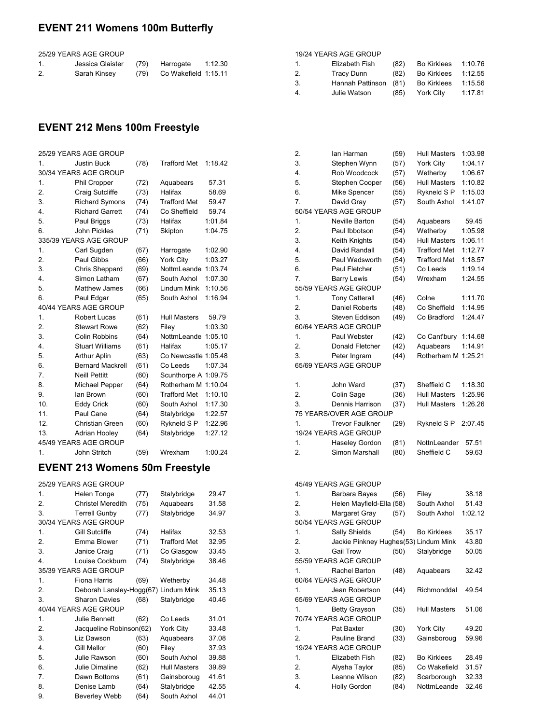## **EVENT 211 Womens 100m Butterfly**

25/29 YEARS AGE GROUP

|    | Jessica Glaister | (79) | Harrogate            | 1:12.30 |
|----|------------------|------|----------------------|---------|
| 2. | Sarah Kinsey     | (79) | Co Wakefield 1:15.11 |         |

## **EVENT 212 Mens 100m Freestyle**

|                  | 25/29 YEARS AGE GROUP   |      |                      |         |
|------------------|-------------------------|------|----------------------|---------|
| 1.               | <b>Justin Buck</b>      | (78) | <b>Trafford Met</b>  | 1:18.42 |
|                  | 30/34 YEARS AGE GROUP   |      |                      |         |
| 1.               | Phil Cropper            | (72) | Aquabears            | 57.31   |
| $\overline{2}$ . | Craig Sutcliffe         | (73) | Halifax              | 58.69   |
| 3.               | <b>Richard Symons</b>   | (74) | <b>Trafford Met</b>  | 59.47   |
| $\overline{4}$ . | <b>Richard Garrett</b>  | (74) | Co Sheffield         | 59.74   |
| 5.               | Paul Briggs             | (73) | Halifax              | 1:01.84 |
| 6.               | John Pickles            | (71) | Skipton              | 1:04.75 |
|                  | 335/39 YEARS AGE GROUP  |      |                      |         |
| 1.               | Carl Sugden             | (67) | Harrogate            | 1:02.90 |
| 2.               | Paul Gibbs              | (66) | York City            | 1:03.27 |
| 3.               | Chris Sheppard          | (69) | NottmLeande          | 1:03.74 |
| $\overline{4}$ . | Simon Latham            | (67) | South Axhol          | 1:07.30 |
| 5.               | <b>Matthew James</b>    | (66) | <b>Lindum Mink</b>   | 1:10.56 |
| 6.               | Paul Edgar              | (65) | South Axhol          | 1:16.94 |
|                  | 40/44 YEARS AGE GROUP   |      |                      |         |
| 1.               | Robert Lucas            | (61) | <b>Hull Masters</b>  | 59.79   |
| 2.               | <b>Stewart Rowe</b>     | (62) | Filey                | 1:03.30 |
| 3.               | <b>Colin Robbins</b>    | (64) | NottmLeande 1:05.10  |         |
| 4.               | <b>Stuart Williams</b>  | (61) | Halifax              | 1:05.17 |
| 5.               | <b>Arthur Aplin</b>     | (63) | Co Newcastle 1:05.48 |         |
| 6.               | <b>Bernard Mackrell</b> | (61) | Co Leeds             | 1:07.34 |
| 7.               | <b>Neill Pettitt</b>    | (60) | Scunthorpe A 1:09.75 |         |
| 8.               | <b>Michael Pepper</b>   | (64) | Rotherham M          | 1:10.04 |
| 9.               | lan Brown               | (60) | <b>Trafford Met</b>  | 1:10.10 |
| 10.              | <b>Eddy Crick</b>       | (60) | South Axhol          | 1:17.30 |
| 11.              | Paul Cane               | (64) | Stalybridge          | 1:22.57 |
| 12.              | Christian Green         | (60) | Rykneld S P          | 1:22.96 |
| 13.              | Adrian Hooley           | (64) | Stalybridge          | 1:27.12 |
|                  | 45/49 YEARS AGE GROUP   |      |                      |         |
| 1.               | John Stritch            | (59) | Wrexham              | 1:00.24 |

### **EVENT 213 Womens 50m Freestyle**

25/29 YEARS AGE GROUP

| 1. | Helen Tonge              | (77) | Stalybridge         | 29.47 |
|----|--------------------------|------|---------------------|-------|
| 2. | <b>Christel Meredith</b> | (75) | Aquabears           | 31.58 |
| 3. | <b>Terrell Gunby</b>     | (77) | Stalybridge         | 34.97 |
|    | 30/34 YEARS AGE GROUP    |      |                     |       |
| 1. | <b>Gill Sutcliffe</b>    | (74) | Halifax             | 32.53 |
| 2. | Emma Blower              | (71) | <b>Trafford Met</b> | 32.95 |
| 3. | Janice Craig             | (71) | Co Glasgow          | 33.45 |
| 4. | Louise Cockburn          | (74) | Stalybridge         | 38.46 |
|    | 35/39 YEARS AGE GROUP    |      |                     |       |
| 1. | Fiona Harris             | (69) | Wetherby            | 34.48 |
| 2. | Deborah Lansley-Hogg(67) |      | <b>Lindum Mink</b>  | 35.13 |
| 3. | <b>Sharon Davies</b>     | (68) | Stalybridge         | 40.46 |
|    | 40/44 YEARS AGE GROUP    |      |                     |       |
| 1. | <b>Julie Bennett</b>     | (62) | Co Leeds            | 31.01 |
| 2. | Jacqueline Robinson(62)  |      | York City           | 33.48 |
| 3. | Liz Dawson               | (63) | Aquabears           | 37.08 |
| 4. | Gill Mellor              | (60) | Filey               | 37.93 |
| 5. | Julie Rawson             | (60) | South Axhol         | 39.88 |
| 6. | Julie Dimaline           | (62) | <b>Hull Masters</b> | 39.89 |
| 7. | Dawn Bottoms             | (61) | Gainsboroug         | 41.61 |
| 8. | Denise Lamb              | (64) | Stalybridge         | 42.55 |
| 9. | <b>Beverley Webb</b>     | (64) | South Axhol         | 44.01 |
|    |                          |      |                     |       |

| 2.               | lan Harman              | (59) | <b>Hull Masters</b> | 1:03.98 |
|------------------|-------------------------|------|---------------------|---------|
| 3.               | Stephen Wynn            | (57) | York City           | 1:04.17 |
| $\overline{4}$ . | Rob Woodcock            | (57) | Wetherby            | 1:06.67 |
| 5.               | Stephen Cooper          | (56) | <b>Hull Masters</b> | 1:10.82 |
| 6.               | Mike Spencer            | (55) | Rykneld S P         | 1:15.03 |
| 7.               | David Gray              | (57) | South Axhol         | 1:41.07 |
|                  | 50/54 YEARS AGE GROUP   |      |                     |         |
| 1.               | Neville Barton          | (54) | Aquabears           | 59.45   |
| 2.               | Paul Ibbotson           | (54) | Wetherby            | 1:05.98 |
| 3.               | Keith Knights           | (54) | <b>Hull Masters</b> | 1:06.11 |
| 4.               | David Randall           | (54) | <b>Trafford Met</b> | 1:12.77 |
| 5.               | Paul Wadsworth          | (54) | <b>Trafford Met</b> | 1:18.57 |
| 6.               | Paul Fletcher           | (51) | Co Leeds            | 1:19.14 |
| 7.               | <b>Barry Lewis</b>      | (54) | Wrexham             | 1:24.55 |
|                  | 55/59 YEARS AGE GROUP   |      |                     |         |
| $\mathbf 1$ .    | <b>Tony Catterall</b>   | (46) | Colne               | 1:11.70 |
| 2.               | <b>Daniel Roberts</b>   | (48) | Co Sheffield        | 1:14.95 |
| 3.               | Steven Eddison          | (49) | Co Bradford         | 1:24.47 |
|                  | 60/64 YEARS AGE GROUP   |      |                     |         |
| 1.               | Paul Webster            | (42) | Co Cant'bury        | 1:14.68 |
| 2.               | Donald Fletcher         | (42) | Aquabears           | 1:14.91 |
| 3.               | Peter Ingram            | (44) | Rotherham M         | 1:25.21 |
|                  | 65/69 YEARS AGE GROUP   |      |                     |         |
|                  |                         |      |                     |         |
| 1.               | John Ward               | (37) | Sheffield C         | 1:18.30 |
| $\overline{2}$ . | Colin Sage              | (36) | <b>Hull Masters</b> | 1:25.96 |
| 3.               | Dennis Harrison         | (37) | <b>Hull Masters</b> | 1:26.26 |
|                  | 75 YEARS/OVER AGE GROUP |      |                     |         |
| 1.               | <b>Trevor Faulkner</b>  | (29) | Rykneld S P         | 2:07.45 |
|                  | 19/24 YEARS AGE GROUP   |      |                     |         |
| 1.               | Haseley Gordon          | (81) | NottnLeander        | 57.51   |
| 2.               | Simon Marshall          | (80) | Sheffield C         | 59.63   |

1. Elizabeth Fish (82) Bo Kirklees 1:10.76 2. Tracy Dunn (82) Bo Kirklees 1:12.55 3. Hannah Pattinson (81) Bo Kirklees 1:15.56 4. Julie Watson (85) York City 1:17.81

19/24 YEARS AGE GROUP

|    | 45/49 YEARS AGE GROUP                 |      |                     |         |
|----|---------------------------------------|------|---------------------|---------|
| 1. | Barbara Bayes                         | (56) | Filey               | 38.18   |
| 2. | Helen Mayfield-Ella (58)              |      | South Axhol         | 51.43   |
| 3. | Margaret Gray                         | (57) | South Axhol         | 1:02.12 |
|    | 50/54 YEARS AGE GROUP                 |      |                     |         |
| 1. | Sally Shields                         | (54) | <b>Bo Kirklees</b>  | 35.17   |
| 2. | Jackie Pinkney Hughes(53) Lindum Mink |      |                     | 43.80   |
| 3. | <b>Gail Trow</b>                      | (50) | Stalybridge         | 50.05   |
|    | 55/59 YEARS AGE GROUP                 |      |                     |         |
| 1. | Rachel Barton                         | (48) | Aquabears           | 32.42   |
|    | 60/64 YEARS AGE GROUP                 |      |                     |         |
| 1  | Jean Robertson                        | (44) | Richmonddal         | 49.54   |
|    | 65/69 YEARS AGE GROUP                 |      |                     |         |
| 1. | <b>Betty Grayson</b>                  | (35) | <b>Hull Masters</b> | 51.06   |
|    | 70/74 YEARS AGE GROUP                 |      |                     |         |
| 1. | Pat Baxter                            | (30) | York City           | 49.20   |
| 2. | Pauline Brand                         | (33) | Gainsboroug         | 59.96   |
|    | 19/24 YEARS AGE GROUP                 |      |                     |         |
| 1. | Elizabeth Fish                        | (82) | <b>Bo Kirklees</b>  | 28.49   |
| 2. | Alysha Taylor                         | (85) | Co Wakefield        | 31.57   |
| 3. | Leanne Wilson                         | (82) | Scarborough         | 32.33   |
| 4. | <b>Holly Gordon</b>                   | (84) | NottmLeande         | 32.46   |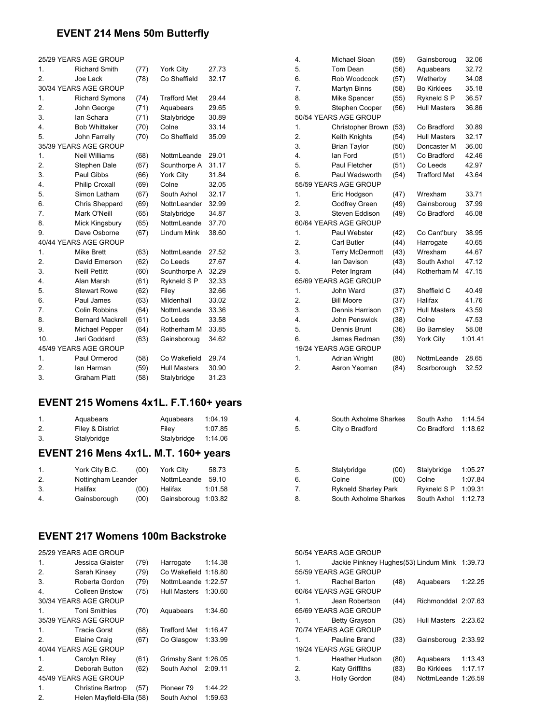#### **EVENT 214 Mens 50m Butterfly**

|                  | 25/29 YEARS AGE GROUP   |      |                     |       |
|------------------|-------------------------|------|---------------------|-------|
| 1.               | <b>Richard Smith</b>    | (77) | York City           | 27.73 |
| $\overline{2}$ . | Joe Lack                | (78) | Co Sheffield        | 32.17 |
|                  | 30/34 YEARS AGE GROUP   |      |                     |       |
| 1.               | <b>Richard Symons</b>   | (74) | <b>Trafford Met</b> | 29.44 |
| 2.               | John George             | (71) | Aquabears           | 29.65 |
| 3.               | lan Schara              | (71) | Stalybridge         | 30.89 |
| $\overline{4}$ . | <b>Bob Whittaker</b>    | (70) | Colne               | 33.14 |
| 5.               | John Farrelly           | (70) | Co Sheffield        | 35.09 |
|                  | 35/39 YEARS AGE GROUP   |      |                     |       |
| 1.               | <b>Neil Williams</b>    | (68) | NottmLeande         | 29.01 |
| 2.               | Stephen Dale            | (67) | Scunthorpe A        | 31.17 |
| 3.               | Paul Gibbs              | (66) | York City           | 31.84 |
| $\overline{4}$ . | <b>Philip Croxall</b>   | (69) | Colne               | 32.05 |
| 5.               | Simon Latham            | (67) | South Axhol         | 32.17 |
| 6.               | Chris Sheppard          | (69) | NottnLeander        | 32.99 |
| 7.               | Mark O'Neill            | (65) | Stalybridge         | 34.87 |
| 8.               | Mick Kingsbury          | (65) | NottmLeande         | 37.70 |
| 9.               | Dave Osborne            | (67) | Lindum Mink         | 38.60 |
|                  | 40/44 YEARS AGE GROUP   |      |                     |       |
| 1.               | <b>Mike Brett</b>       | (63) | NottmLeande         | 27.52 |
| $\overline{2}$ . | David Emerson           | (62) | Co Leeds            | 27.67 |
| 3.               | <b>Neill Pettitt</b>    | (60) | Scunthorpe A        | 32.29 |
| 4.               | Alan Marsh              | (61) | Rykneld S P         | 32.33 |
| 5.               | <b>Stewart Rowe</b>     | (62) | Filey               | 32.66 |
| 6.               | Paul James              | (63) | Mildenhall          | 33.02 |
| $\overline{7}$ . | Colin Robbins           | (64) | NottmLeande         | 33.36 |
| 8.               | <b>Bernard Mackrell</b> | (61) | Co Leeds            | 33.58 |
| 9.               | Michael Pepper          | (64) | Rotherham M         | 33.85 |
| 10.              | Jari Goddard            | (63) | Gainsboroug         | 34.62 |
|                  | 45/49 YEARS AGE GROUP   |      |                     |       |
| 1.               | Paul Ormerod            | (58) | Co Wakefield        | 29.74 |
| 2.               | lan Harman              | (59) | <b>Hull Masters</b> | 30.90 |
| 3.               | <b>Graham Platt</b>     | (58) | Stalybridge         | 31.23 |

### **EVENT 215 Womens 4x1L. F.T.160+ years**

|                | EVENT 246 Mone 4v41 | $M T 4C0 + W02C$ |         |
|----------------|---------------------|------------------|---------|
| 3.             | Stalybridge         | Stalybridge      | 1:14.06 |
| 2.             | Filey & District    | Filev            | 1:07.85 |
| $\mathbf{1}$ . | Aquabears           | Aquabears        | 1:04.19 |

#### **EVENT 216 Mens 4x1L. M.T. 160+ years**

| $\mathbf{1}$ . | York City B.C.     | (00) | York City           | 58.73   |
|----------------|--------------------|------|---------------------|---------|
| 2.             | Nottingham Leander |      | NottmLeande         | 59.10   |
| 3.             | Halifax            | (00) | Halifax             | 1:01.58 |
| 4.             | Gainsborough       | (00) | Gainsboroug 1:03.82 |         |

#### **EVENT 217 Womens 100m Backstroke**

| 25/29 YEARS AGE GROUP |                          |      |                      |         |
|-----------------------|--------------------------|------|----------------------|---------|
| 1.                    | Jessica Glaister         | (79) | Harrogate            | 1:14.38 |
| 2.                    | Sarah Kinsey             | (79) | Co Wakefield 1:18.80 |         |
| 3.                    | Roberta Gordon           | (79) | NottmLeande 1:22.57  |         |
| 4.                    | Colleen Bristow          | (75) | <b>Hull Masters</b>  | 1:30.60 |
|                       | 30/34 YEARS AGE GROUP    |      |                      |         |
| 1.                    | <b>Toni Smithies</b>     | (70) | Aquabears            | 1:34.60 |
|                       | 35/39 YEARS AGE GROUP    |      |                      |         |
| 1.                    | Tracie Gorst             | (68) | <b>Trafford Met</b>  | 1:16.47 |
| 2.                    | Elaine Craig             | (67) | Co Glasgow           | 1:33.99 |
|                       | 40/44 YEARS AGE GROUP    |      |                      |         |
| 1.                    | Carolyn Riley            | (61) | Grimsby Sant 1:26.05 |         |
| 2.                    | Deborah Button           | (62) | South Axhol          | 2:09.11 |
|                       | 45/49 YEARS AGE GROUP    |      |                      |         |
| 1.                    | <b>Christine Bartrop</b> | (57) | Pioneer 79           | 1:44.22 |
| 2.                    | Helen Mayfield-Ella (58) |      | South Axhol          | 1:59.63 |

| $\overline{4}$ .                | Michael Sloan          | (59) | Gainsboroug         | 32.06   |
|---------------------------------|------------------------|------|---------------------|---------|
| 5.<br>Tom Dean                  |                        | (56) | Aquabears           | 32.72   |
| 6.                              | Rob Woodcock           | (57) | Wetherby            | 34.08   |
| 7.                              | <b>Martyn Binns</b>    | (58) | <b>Bo Kirklees</b>  | 35.18   |
| 8.                              | Mike Spencer           | (55) | Rykneld S P         | 36.57   |
| 9.                              | Stephen Cooper         | (56) | <b>Hull Masters</b> | 36.86   |
| 50/54 YEARS AGE GROUP           |                        |      |                     |         |
| 1.                              | Christopher Brown      | (53) | Co Bradford         | 30.89   |
| 2.                              | Keith Knights          | (54) | <b>Hull Masters</b> | 32.17   |
| 3.                              | <b>Brian Taylor</b>    | (50) | Doncaster M         | 36.00   |
| 4.<br>lan Ford                  |                        | (51) | Co Bradford         | 42.46   |
| 5.                              | Paul Fletcher          | (51) | Co Leeds            | 42.97   |
| 6.                              | Paul Wadsworth         | (54) | <b>Trafford Met</b> | 43.64   |
| 55/59 YEARS AGE GROUP           |                        |      |                     |         |
| 1.                              | Eric Hodgson           | (47) | Wrexham             | 33.71   |
| 2.                              | Godfrey Green          | (49) | Gainsboroug         | 37.99   |
| 3.                              | Steven Eddison         | (49) | Co Bradford         | 46.08   |
| 60/64 YEARS AGE GROUP           |                        |      |                     |         |
| 1.                              | Paul Webster           | (42) | Co Cant'bury        | 38.95   |
| 2.<br>Carl Butler               |                        | (44) | Harrogate           | 40.65   |
| 3.                              | <b>Terry McDermott</b> | (43) | Wrexham             | 44.67   |
| $\overline{4}$ .<br>lan Davison |                        | (43) | South Axhol         | 47.12   |
| 5.                              | Peter Ingram           | (44) | Rotherham M         | 47.15   |
| 65/69 YEARS AGE GROUP           |                        |      |                     |         |
| 1.<br>John Ward                 |                        | (37) | Sheffield C         | 40.49   |
| 2.<br><b>Bill Moore</b>         |                        | (37) | Halifax             | 41.76   |
| 3.                              | Dennis Harrison        | (37) | <b>Hull Masters</b> | 43.59   |
| $\overline{4}$ .                | John Penswick          | (38) | Colne               | 47.53   |
| 5.                              | Dennis Brunt           | (36) | <b>Bo Barnsley</b>  | 58.08   |
| 6.                              | James Redman           | (39) | York City           | 1:01.41 |
| 19/24 YEARS AGE GROUP           |                        |      |                     |         |
| 1.                              | <b>Adrian Wright</b>   | (80) | NottmLeande         | 28.65   |
| 2.                              | Aaron Yeoman           | (84) | Scarborough         | 32.52   |

| 4.                   | South Axholme Sharkes                                                        |              | South Axho                                         | 1:14.54                                  |
|----------------------|------------------------------------------------------------------------------|--------------|----------------------------------------------------|------------------------------------------|
| 5.                   | City o Bradford                                                              |              | Co Bradford                                        | 1:18.62                                  |
| 5.<br>6.<br>7.<br>8. | Stalybridge<br>Colne<br><b>Rykneld Sharley Park</b><br>South Axholme Sharkes | (00)<br>(00) | Stalybridge<br>Colne<br>Rykneld S P<br>South Axhol | 1:05.27<br>1:07.84<br>1:09.31<br>1:12.73 |

#### 50/54 YEARS AGE GROUP 1. Jackie Pinkney Hughes(53) Lindum Mink 1:39.73 55/59 YEARS AGE GROUP 1. Rachel Barton (48) Aquabears 1:22.25 60/64 YEARS AGE GROUP 1. Jean Robertson (44) Richmonddal 2:07.63 65/69 YEARS AGE GROUP 1. Betty Grayson (35) Hull Masters 2:23.62 70/74 YEARS AGE GROUP 1. Pauline Brand (33) Gainsboroug 2:33.92 19/24 YEARS AGE GROUP 1. Heather Hudson (80) Aquabears 1:13.43 2. Katy Griffiths (83) Bo Kirklees 1:17.17 3. Holly Gordon (84) NottmLeande 1:26.59